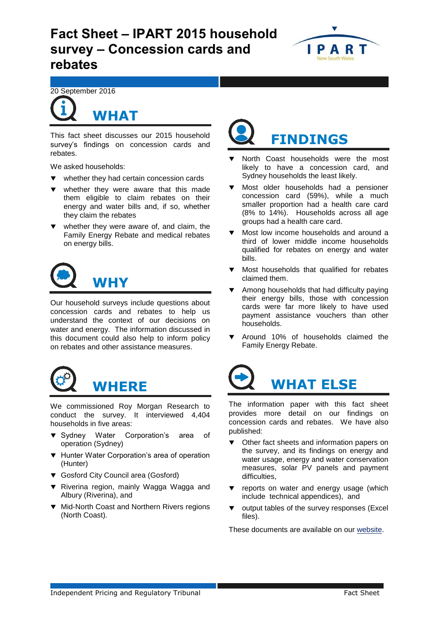# **Fact Sheet – IPART 2015 household survey – Concession cards and rebates**



20 September 2016



**WHAT**

This fact sheet discusses our 2015 household survey's findings on concession cards and rebates.

We asked households:

- whether they had certain concession cards
- whether they were aware that this made them eligible to claim rebates on their energy and water bills and, if so, whether they claim the rebates
- whether they were aware of, and claim, the Family Energy Rebate and medical rebates on energy bills.



Our household surveys include questions about concession cards and rebates to help us understand the context of our decisions on water and energy. The information discussed in this document could also help to inform policy on rebates and other assistance measures.



We commissioned Roy Morgan Research to conduct the survey. It interviewed 4,404 households in five areas:

- **v** Sydney Water Corporation's area of operation (Sydney)
- ▼ Hunter Water Corporation's area of operation (Hunter)
- ▼ Gosford City Council area (Gosford)
- ▼ Riverina region, mainly Wagga Wagga and Albury (Riverina), and
- ▼ Mid-North Coast and Northern Rivers regions (North Coast).



- North Coast households were the most likely to have a concession card, and Sydney households the least likely.
- **Wost older households had a pensioner** concession card (59%), while a much smaller proportion had a health care card (8% to 14%). Households across all age groups had a health care card.
- Most low income households and around a third of lower middle income households qualified for rebates on energy and water bills.
- Most households that qualified for rebates claimed them.
- Among households that had difficulty paying their energy bills, those with concession cards were far more likely to have used payment assistance vouchers than other households.
- Around 10% of households claimed the Family Energy Rebate.



The information paper with this fact sheet provides more detail on our findings on concession cards and rebates. We have also published:

- Other fact sheets and information papers on the survey, and its findings on energy and water usage, energy and water conservation measures, solar PV panels and payment difficulties,
- reports on water and energy usage (which include technical appendices), and
- output tables of the survey responses (Excel files).

These documents are available on our [website.](https://www.ipart.nsw.gov.au/Home/Industries/Special-Reviews/Reviews/Household-Survey/IPART-2015-Household-survey-of-electricity-gas-and-water-usage?qDh=2)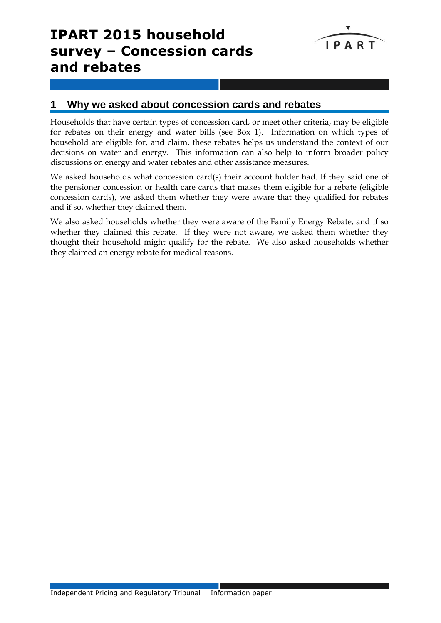# **IPART 2015 household survey – Concession cards and rebates**



# **1 Why we asked about concession cards and rebates**

Households that have certain types of concession card, or meet other criteria, may be eligible for rebates on their energy and water bills (see Box 1). Information on which types of household are eligible for, and claim, these rebates helps us understand the context of our decisions on water and energy. This information can also help to inform broader policy discussions on energy and water rebates and other assistance measures.

We asked households what concession card(s) their account holder had. If they said one of the pensioner concession or health care cards that makes them eligible for a rebate (eligible concession cards), we asked them whether they were aware that they qualified for rebates and if so, whether they claimed them.

We also asked households whether they were aware of the Family Energy Rebate, and if so whether they claimed this rebate. If they were not aware, we asked them whether they thought their household might qualify for the rebate. We also asked households whether they claimed an energy rebate for medical reasons.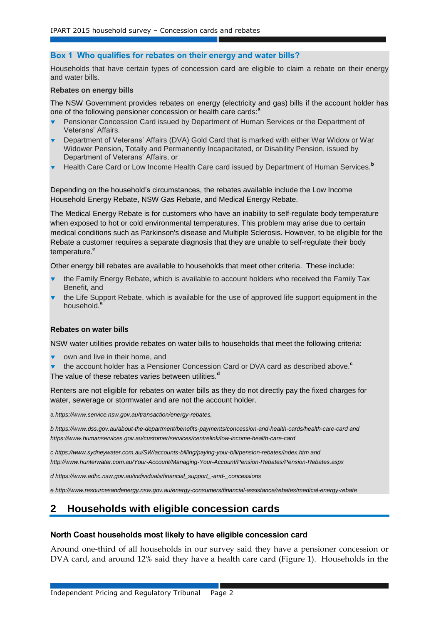### **Box 1 Who qualifies for rebates on their energy and water bills?**

Households that have certain types of concession card are eligible to claim a rebate on their energy and water bills.

#### **Rebates on energy bills**

The NSW Government provides rebates on energy (electricity and gas) bills if the account holder has one of the following pensioner concession or health care cards: **a**

- Pensioner Concession Card issued by Department of Human Services or the Department of Veterans' Affairs.
- Department of Veterans' Affairs (DVA) Gold Card that is marked with either War Widow or War Widower Pension, Totally and Permanently Incapacitated, or Disability Pension, issued by Department of Veterans' Affairs, or
- Health Care Card or Low Income Health Care card issued by Department of Human Services.**<sup>b</sup>**

Depending on the household's circumstances, the rebates available include the Low Income Household Energy Rebate, NSW Gas Rebate, and Medical Energy Rebate.

The Medical Energy Rebate is for customers who have an inability to self-regulate body temperature when exposed to hot or cold environmental temperatures. This problem may arise due to certain medical conditions such as Parkinson's disease and Multiple Sclerosis. However, to be eligible for the Rebate a customer requires a separate diagnosis that they are unable to self-regulate their body temperature.**<sup>e</sup>**

Other energy bill rebates are available to households that meet other criteria. These include:

- the Family Energy Rebate, which is available to account holders who received the Family Tax Benefit, and
- the Life Support Rebate, which is available for the use of approved life support equipment in the household.**<sup>a</sup>**

### **Rebates on water bills**

NSW water utilities provide rebates on water bills to households that meet the following criteria:

- own and live in their home, and
- the account holder has a Pensioner Concession Card or DVA card as described above. **c** The value of these rebates varies between utilities.**<sup>d</sup>**

Renters are not eligible for rebates on water bills as they do not directly pay the fixed charges for water, sewerage or stormwater and are not the account holder.

a *[https://www.service.nsw.gov.au/transaction/energy-rebates,](https://www.service.nsw.gov.au/transaction/energy-rebates)*

*b <https://www.dss.gov.au/about-the-department/benefits-payments/concession-and-health-cards/health-care-card> and https://www.humanservices.gov.au/customer/services/centrelink/low-income-health-care-card*

*c <https://www.sydneywater.com.au/SW/accounts-billing/paying-your-bill/pension-rebates/index.htm> and <http://www.hunterwater.com.au/Your-Account/Managing-Your-Account/Pension-Rebates/Pension-Rebates.aspx>*

*d [https://www.adhc.nsw.gov.au/individuals/financial\\_support\\_-and-\\_concessions](https://www.adhc.nsw.gov.au/individuals/financial_support_-and-_concessions)*

*e http://www.resourcesandenergy.nsw.gov.au/energy-consumers/financial-assistance/rebates/medical-energy-rebate*

## **2 Households with eligible concession cards**

### **North Coast households most likely to have eligible concession card**

Around one-third of all households in our survey said they have a pensioner concession or DVA card, and around 12% said they have a health care card (Figure 1). Households in the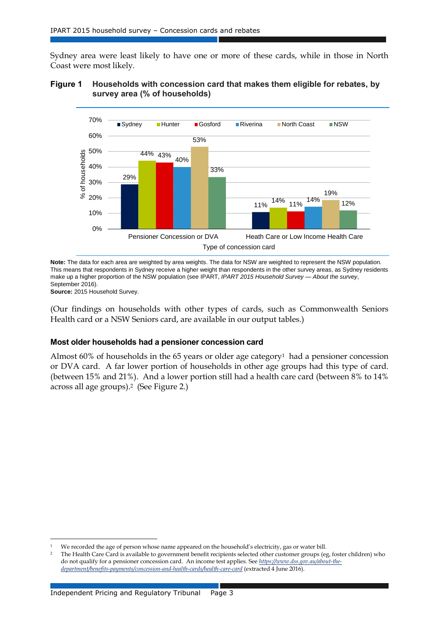Sydney area were least likely to have one or more of these cards, while in those in North Coast were most likely.

### **Figure 1 Households with concession card that makes them eligible for rebates, by survey area (% of households)**



**Note:** The data for each area are weighted by area weights. The data for NSW are weighted to represent the NSW population. This means that respondents in Sydney receive a higher weight than respondents in the other survey areas, as Sydney residents make up a higher proportion of the NSW population (see IPART, *IPART 2015 Household Survey — About the survey*, September 2016).

**Source:** 2015 Household Survey.

-

(Our findings on households with other types of cards, such as Commonwealth Seniors Health card or a NSW Seniors card, are available in our output tables.)

### **Most older households had a pensioner concession card**

Almost 60% of households in the 65 years or older age category<sup>1</sup> had a pensioner concession or DVA card. A far lower portion of households in other age groups had this type of card. (between 15% and 21%). And a lower portion still had a health care card (between 8% to 14% across all age groups).2 (See Figure 2.)

<sup>1</sup> We recorded the age of person whose name appeared on the household's electricity, gas or water bill.

<sup>&</sup>lt;sup>2</sup> The Health Care Card is available to government benefit recipients selected other customer groups (eg, foster children) who do not qualify for a pensioner concession card. An income test applies. See *[https://www.dss.gov.au/about-the](https://www.dss.gov.au/about-the-department/benefits-payments/concession-and-health-cards/health-care-card)[department/benefits-payments/concession-and-health-cards/health-care-card](https://www.dss.gov.au/about-the-department/benefits-payments/concession-and-health-cards/health-care-card)* (extracted 4 June 2016).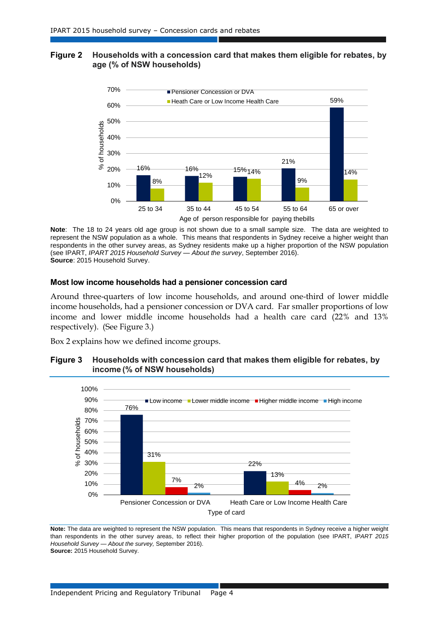### **Figure 2 Households with a concession card that makes them eligible for rebates, by age (% of NSW households)**



**Note**: The 18 to 24 years old age group is not shown due to a small sample size. The data are weighted to represent the NSW population as a whole. This means that respondents in Sydney receive a higher weight than respondents in the other survey areas, as Sydney residents make up a higher proportion of the NSW population (see IPART, *IPART 2015 Household Survey — About the survey*, September 2016). **Source**: 2015 Household Survey.

### **Most low income households had a pensioner concession card**

Around three-quarters of low income households, and around one-third of lower middle income households, had a pensioner concession or DVA card. Far smaller proportions of low income and lower middle income households had a health care card (22% and 13% respectively). (See Figure 3.)

Box 2 explains how we defined income groups.

### **Figure 3 Households with concession card that makes them eligible for rebates, by income (% of NSW households)**



**Note:** The data are weighted to represent the NSW population. This means that respondents in Sydney receive a higher weight than respondents in the other survey areas, to reflect their higher proportion of the population (see IPART, *IPART 2015 Household Survey — About the survey,* September 2016). **Source:** 2015 Household Survey.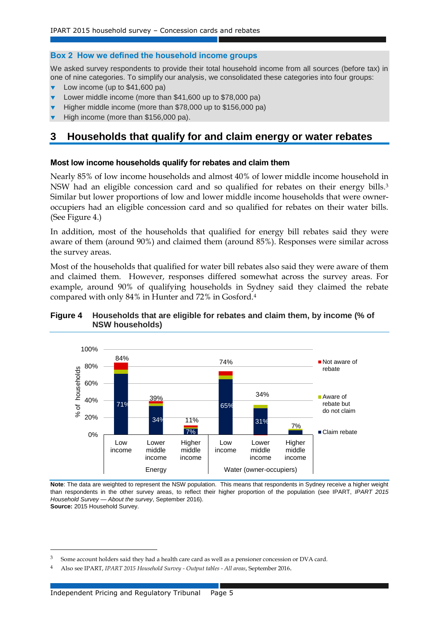### **Box 2 How we defined the household income groups**

We asked survey respondents to provide their total household income from all sources (before tax) in one of nine categories. To simplify our analysis, we consolidated these categories into four groups:

- Low income (up to \$41,600 pa)
- Lower middle income (more than \$41,600 up to \$78,000 pa)
- Higher middle income (more than \$78,000 up to \$156,000 pa)
- High income (more than \$156,000 pa).

# **3 Households that qualify for and claim energy or water rebates**

### **Most low income households qualify for rebates and claim them**

Nearly 85% of low income households and almost 40% of lower middle income household in NSW had an eligible concession card and so qualified for rebates on their energy bills. 3 Similar but lower proportions of low and lower middle income households that were owneroccupiers had an eligible concession card and so qualified for rebates on their water bills. (See Figure 4.)

In addition, most of the households that qualified for energy bill rebates said they were aware of them (around 90%) and claimed them (around 85%). Responses were similar across the survey areas.

Most of the households that qualified for water bill rebates also said they were aware of them and claimed them. However, responses differed somewhat across the survey areas. For example, around 90% of qualifying households in Sydney said they claimed the rebate compared with only 84% in Hunter and 72% in Gosford.<sup>4</sup>

### **Figure 4 Households that are eligible for rebates and claim them, by income (% of NSW households)**



**Note**: The data are weighted to represent the NSW population. This means that respondents in Sydney receive a higher weight than respondents in the other survey areas, to reflect their higher proportion of the population (see IPART, *IPART 2015 Household Survey — About the survey*, September 2016). **Source:** 2015 Household Survey.

 $\overline{a}$ 

<sup>3</sup> Some account holders said they had a health care card as well as a pensioner concession or DVA card.

<sup>4</sup> Also see IPART, *IPART 2015 Household Survey - Output tables - All areas*, September 2016.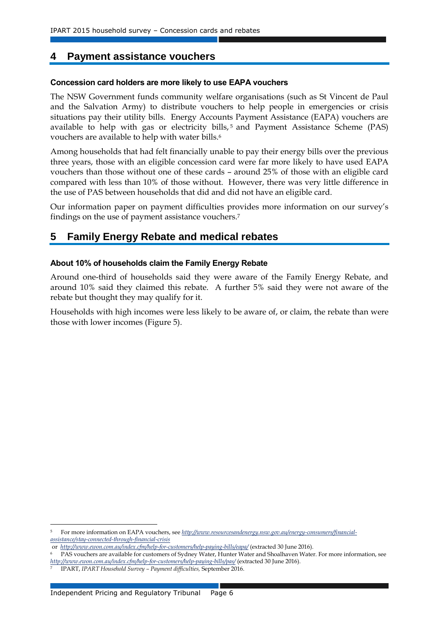### **4 Payment assistance vouchers**

### **Concession card holders are more likely to use EAPA vouchers**

The NSW Government funds community welfare organisations (such as St Vincent de Paul and the Salvation Army) to distribute vouchers to help people in emergencies or crisis situations pay their utility bills. Energy Accounts Payment Assistance (EAPA) vouchers are available to help with gas or electricity bills, $5$  and Payment Assistance Scheme (PAS) vouchers are available to help with water bills.<sup>6</sup>

Among households that had felt financially unable to pay their energy bills over the previous three years, those with an eligible concession card were far more likely to have used EAPA vouchers than those without one of these cards – around 25% of those with an eligible card compared with less than 10% of those without. However, there was very little difference in the use of PAS between households that did and did not have an eligible card.

Our information paper on payment difficulties provides more information on our survey's findings on the use of payment assistance vouchers.<sup>7</sup>

### **5 Family Energy Rebate and medical rebates**

### **About 10% of households claim the Family Energy Rebate**

Around one-third of households said they were aware of the Family Energy Rebate, and around 10% said they claimed this rebate. A further 5% said they were not aware of the rebate but thought they may qualify for it.

Households with high incomes were less likely to be aware of, or claim, the rebate than were those with lower incomes (Figure 5).

-

<sup>5</sup> For more information on EAPA vouchers, see *[http://www.resourcesandenergy.nsw.gov.au/energy-consumers/financial](http://www.resourcesandenergy.nsw.gov.au/energy-consumers/financial-assistance/stay-connected-through-financial-crisis)[assistance/stay-connected-through-financial-crisis](http://www.resourcesandenergy.nsw.gov.au/energy-consumers/financial-assistance/stay-connected-through-financial-crisis)*

or *<http://www.ewon.com.au/index.cfm/help-for-customers/help-paying-bills/eapa/>* (extracted 30 June 2016).

PAS vouchers are available for customers of Sydney Water, Hunter Water and Shoalhaven Water. For more information, see *<http://www.ewon.com.au/index.cfm/help-for-customers/help-paying-bills/pas/>* (extracted 30 June 2016).

<sup>7</sup> IPART, *IPART Household Survey – Payment difficulties,* September 2016.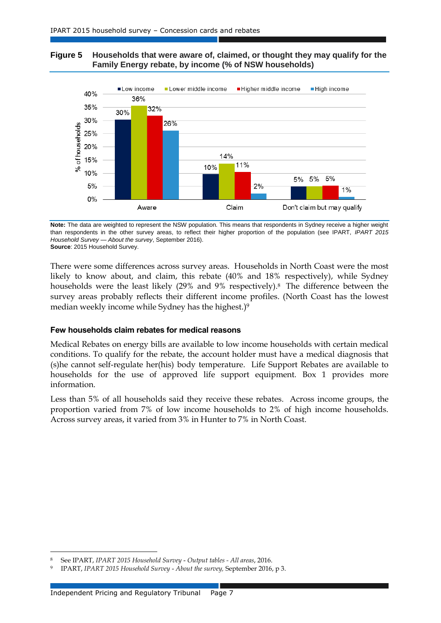### **Figure 5 Households that were aware of, claimed, or thought they may qualify for the Family Energy rebate, by income (% of NSW households)**



**Note:** The data are weighted to represent the NSW population. This means that respondents in Sydney receive a higher weight than respondents in the other survey areas, to reflect their higher proportion of the population (see IPART, *IPART 2015 Household Survey — About the survey*, September 2016). **Source**: 2015 Household Survey.

There were some differences across survey areas. Households in North Coast were the most likely to know about, and claim, this rebate (40% and 18% respectively), while Sydney households were the least likely (29% and 9% respectively). <sup>8</sup> The difference between the survey areas probably reflects their different income profiles. (North Coast has the lowest median weekly income while Sydney has the highest.) 9

### **Few households claim rebates for medical reasons**

Medical Rebates on energy bills are available to low income households with certain medical conditions. To qualify for the rebate, the account holder must have a medical diagnosis that (s)he cannot self-regulate her(his) body temperature. Life Support Rebates are available to households for the use of approved life support equipment. Box 1 provides more information.

Less than 5% of all households said they receive these rebates. Across income groups, the proportion varied from 7% of low income households to 2% of high income households. Across survey areas, it varied from 3% in Hunter to 7% in North Coast.

l

<sup>8</sup> See IPART, *IPART 2015 Household Survey* - *Output tables - All areas*, 2016.

<sup>9</sup> IPART, *IPART 2015 Household Survey* - *About the survey,* September 2016, p 3.